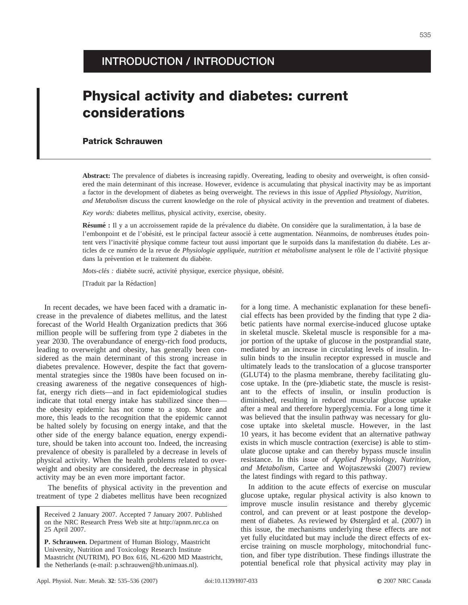## **INTRODUCTION / INTRODUCTION**

## **Physical activity and diabetes: current considerations**

## **Patrick Schrauwen**

**Abstract:** The prevalence of diabetes is increasing rapidly. Overeating, leading to obesity and overweight, is often considered the main determinant of this increase. However, evidence is accumulating that physical inactivity may be as important a factor in the development of diabetes as being overweight. The reviews in this issue of *Applied Physiology, Nutrition, and Metabolism* discuss the current knowledge on the role of physical activity in the prevention and treatment of diabetes.

*Key words:* diabetes mellitus, physical activity, exercise, obesity.

**Résumé :** Il y a un accroissement rapide de la prévalence du diabète. On considère que la suralimentation, à la base de l'embonpoint et de l'obésité, est le principal facteur associé à cette augmentation. Néanmoins, de nombreuses études pointent vers l'inactivité physique comme facteur tout aussi important que le surpoids dans la manifestation du diabète. Les articles de ce numéro de la revue de *Physiologie appliquée, nutrition et métabolisme* analysent le rôle de l'activité physique dans la prévention et le traitement du diabète.

*Mots-clés : diabète sucré, activité physique, exercice physique, obésité.* 

[Traduit par la Rédaction]

In recent decades, we have been faced with a dramatic increase in the prevalence of diabetes mellitus, and the latest forecast of the World Health Organization predicts that 366 million people will be suffering from type 2 diabetes in the year 2030. The overabundance of energy-rich food products, leading to overweight and obesity, has generally been considered as the main determinant of this strong increase in diabetes prevalence. However, despite the fact that governmental strategies since the 1980s have been focused on increasing awareness of the negative consequences of highfat, energy rich diets—and in fact epidemiological studies indicate that total energy intake has stabilized since then the obesity epidemic has not come to a stop. More and more, this leads to the recognition that the epidemic cannot be halted solely by focusing on energy intake, and that the other side of the energy balance equation, energy expenditure, should be taken into account too. Indeed, the increasing prevalence of obesity is paralleled by a decrease in levels of physical activity. When the health problems related to overweight and obesity are considered, the decrease in physical activity may be an even more important factor.

The benefits of physical activity in the prevention and treatment of type 2 diabetes mellitus have been recognized

**P. Schrauwen.** Department of Human Biology, Maastricht University, Nutrition and Toxicology Research Institute Maastricht (NUTRIM), PO Box 616, NL-6200 MD Maastricht, the Netherlands (e-mail: p.schrauwen@hb.unimaas.nl).

for a long time. A mechanistic explanation for these beneficial effects has been provided by the finding that type 2 diabetic patients have normal exercise-induced glucose uptake in skeletal muscle. Skeletal muscle is responsible for a major portion of the uptake of glucose in the postprandial state, mediated by an increase in circulating levels of insulin. Insulin binds to the insulin receptor expressed in muscle and ultimately leads to the translocation of a glucose transporter (GLUT4) to the plasma membrane, thereby facilitating glucose uptake. In the (pre-)diabetic state, the muscle is resistant to the effects of insulin, or insulin production is diminished, resulting in reduced muscular glucose uptake after a meal and therefore hyperglycemia. For a long time it was believed that the insulin pathway was necessary for glucose uptake into skeletal muscle. However, in the last 10 years, it has become evident that an alternative pathway exists in which muscle contraction (exercise) is able to stimulate glucose uptake and can thereby bypass muscle insulin resistance. In this issue of *Applied Physiology, Nutrition, and Metabolism*, Cartee and Wojtaszewski (2007) review the latest findings with regard to this pathway.

In addition to the acute effects of exercise on muscular glucose uptake, regular physical activity is also known to improve muscle insulin resistance and thereby glycemic control, and can prevent or at least postpone the development of diabetes. As reviewed by Østergård et al. (2007) in this issue, the mechanisms underlying these effects are not yet fully elucitdated but may include the direct effects of exercise training on muscle morphology, mitochondrial function, and fiber type distribution. These findings illustrate the potential benefical role that physical activity may play in

Received 2 January 2007. Accepted 7 January 2007. Published on the NRC Research Press Web site at http://apnm.nrc.ca on 25 April 2007.